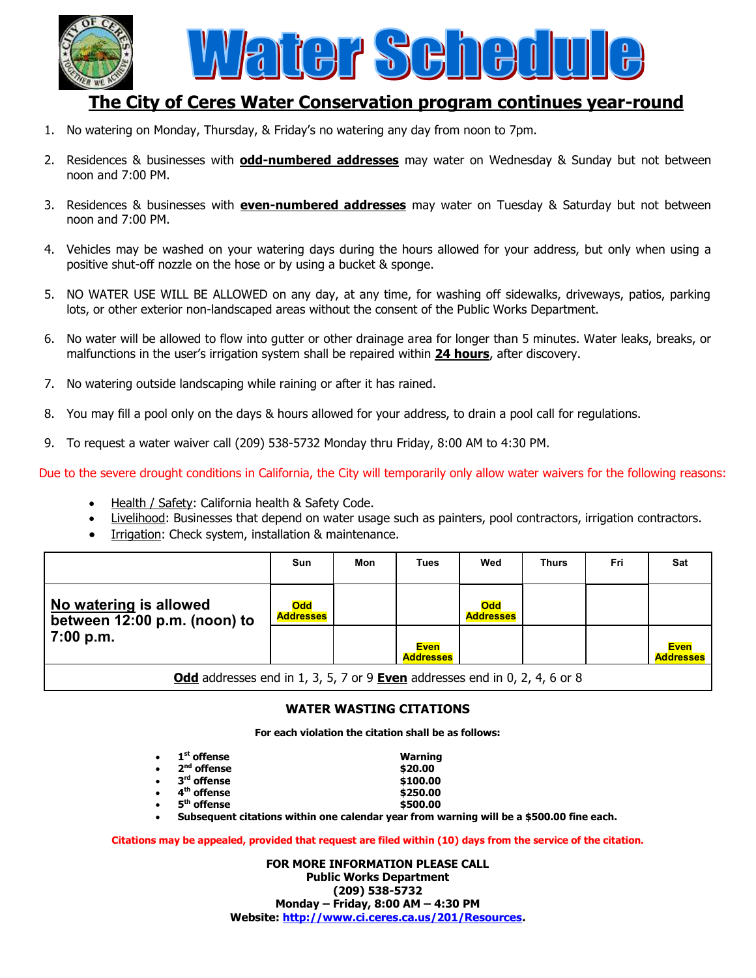

# **The City of Ceres Water Conservation program continues year-round**

- 1. No watering on Monday, Thursday, & Friday's no watering any day from noon to 7pm.
- 2. Residences & businesses with **odd-numbered addresses** may water on Wednesday & Sunday but not between noon and 7:00 PM.
- 3. Residences & businesses with **even-numbered addresses** may water on Tuesday & Saturday but not between noon and 7:00 PM.
- 4. Vehicles may be washed on your watering days during the hours allowed for your address, but only when using a positive shut-off nozzle on the hose or by using a bucket & sponge.
- 5. NO WATER USE WILL BE ALLOWED on any day, at any time, for washing off sidewalks, driveways, patios, parking lots, or other exterior non-landscaped areas without the consent of the Public Works Department.
- 6. No water will be allowed to flow into gutter or other drainage area for longer than 5 minutes. Water leaks, breaks, or malfunctions in the user's irrigation system shall be repaired within **24 hours**, after discovery.
- 7. No watering outside landscaping while raining or after it has rained.
- 8. You may fill a pool only on the days & hours allowed for your address, to drain a pool call for regulations.
- 9. To request a water waiver call (209) 538-5732 Monday thru Friday, 8:00 AM to 4:30 PM.

Due to the severe drought conditions in California, the City will temporarily only allow water waivers for the following reasons:

- Health / Safety: California health & Safety Code.
- Livelihood: Businesses that depend on water usage such as painters, pool contractors, irrigation contractors.
- Irrigation: Check system, installation & maintenance.

|                                                                                   | <b>Sun</b>                     | Mon | <b>Tues</b>                     | Wed                            | <b>Thurs</b> | Fri | Sat                             |
|-----------------------------------------------------------------------------------|--------------------------------|-----|---------------------------------|--------------------------------|--------------|-----|---------------------------------|
| No watering is allowed<br>between 12:00 p.m. (noon) to<br>7:00 p.m.               | <b>Odd</b><br><b>Addresses</b> |     |                                 | <b>Odd</b><br><b>Addresses</b> |              |     |                                 |
|                                                                                   |                                |     | <b>Even</b><br><b>Addresses</b> |                                |              |     | <b>Even</b><br><b>Addresses</b> |
| Odd addresses end in 1, 3, 5, 7 or 9 <b>Even</b> addresses end in 0, 2, 4, 6 or 8 |                                |     |                                 |                                |              |     |                                 |

#### **WATER WASTING CITATIONS**

**For each violation the citation shall be as follows:**

| $1st$ offense | <b>Warning</b> |
|---------------|----------------|
|               |                |

| $2nd$ offense |  |
|---------------|--|
|               |  |

- 3<sup>rd</sup> offense
- **4 th offense \$250.00**
- **5 th offense \$500.00**
- **nd offense \$20.00 rd offense \$100.00**
- -

**Subsequent citations within one calendar year from warning will be a \$500.00 fine each.**

**Citations may be appealed, provided that request are filed within (10) days from the service of the citation.**

**FOR MORE INFORMATION PLEASE CALL Public Works Department (209) 538-5732 Monday – Friday, 8:00 AM – 4:30 PM Website: [http://www.ci.ceres.ca.us/201/Resources.](http://www.ci.ceres.ca.us/201/Resources)**